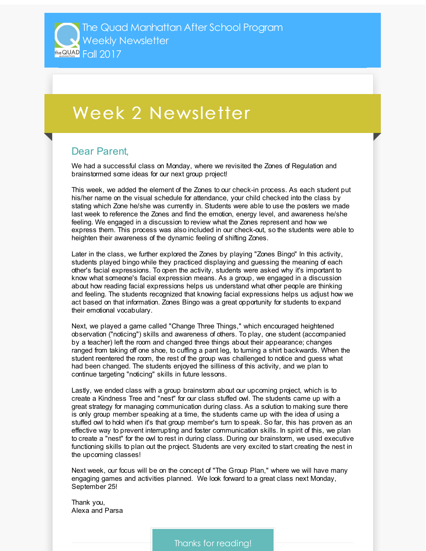## Week 2 Newsletter

## Dear Parent,

We had a successful class on Monday, where we revisited the Zones of Regulation and brainstormed some ideas for our next group project!

This week, we added the element of the Zones to our check-in process. As each student put his/her name on the visual schedule for attendance, your child checked into the class by stating which Zone he/she was currently in. Students were able to use the posters we made last week to reference the Zones and find the emotion, energy level, and awareness he/she feeling. We engaged in a discussion to review what the Zones represent and how we express them. This process was also included in our check-out, so the students were able to heighten their awareness of the dynamic feeling of shifting Zones.

Later in the class, we further explored the Zones by playing "Zones Bingo" In this activity, students played bingo while they practiced displaying and guessing the meaning of each other's facial expressions. To open the activity, students were asked why it's important to know what someone's facial expression means. As a group, we engaged in a discussion about how reading facial expressions helps us understand what other people are thinking and feeling. The students recognized that knowing facial expressions helps us adjust how we act based on that information. Zones Bingo was a great opportunity for students to expand their emotional vocabulary.

Next, we played a game called "Change Three Things," which encouraged heightened observation ("noticing") skills and awareness of others. To play, one student (accompanied by a teacher) left the room and changed three things about their appearance; changes ranged from taking off one shoe, to cuffing a pant leg, to turning a shirt backwards. When the student reentered the room, the rest of the group was challenged to notice and guess what had been changed. The students enjoyed the silliness of this activity, and we plan to continue targeting "noticing" skills in future lessons.

Lastly, we ended class with a group brainstorm about our upcoming project, which is to create a Kindness Tree and "nest" for our class stuffed owl. The students came up with a great strategy for managing communication during class. As a solution to making sure there is only group member speaking at a time, the students came up with the idea of using a stuffed owl to hold when it's that group member's turn to speak. So far, this has proven as an effective way to prevent interrupting and foster communication skills. In spirit of this, we plan to create a "nest" for the owl to rest in during class. During our brainstorm, we used executive functioning skills to plan out the project. Students are very excited to start creating the nest in the upcoming classes!

Next week, our focus will be on the concept of "The Group Plan," where we will have many engaging games and activities planned. We look forward to a great class next Monday, September 25!

Thank you, Alexa and Parsa

Thanks for reading!